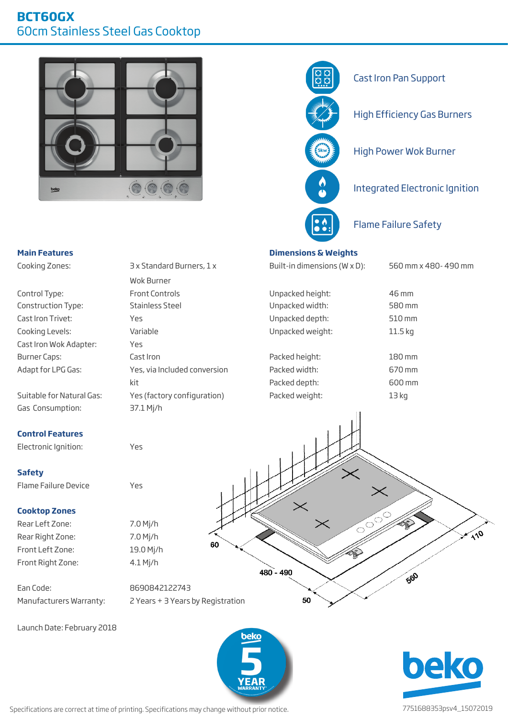



## **Main Features Dimensions & Weights**

Cooking Zones: 3 x Standard Burners, 1 x Built-in dimensions (W x D): 560 mm x 480- 490 mm

Unpacked height: Unpacked width: Cast Iron Trivet: Yes Unpacked depth: 510 mm Cooking Levels: Variable Variable Unpacked weight: 11.5 kg Burner Caps: Cast Iron Cast Iron Packed height: 180 mm Adapt for LPG Gas: Yes, via Included conversion Packed width: 670 mm kit Packed depth: 600 mm

580 mm

46 mm

Gas Consumption: 37.1 Mj/h

### **Control Features**

Control Type: Construction Type:

Electronic Ignition: Yes

#### **Safety**

Flame Failure Device Yes

#### **Cooktop Zones**

Rear Left Zone: 7.0 Mj/h Rear Right Zone: 7.0 Mj/h Front Left Zone: 19.0 Mj/h Front Right Zone: 4.1 Mj/h

Ean Code: 8690842122743

Front Controls Stainless Steel Cast Iron Wok Adapter: Yes Suitable for Natural Gas: Yes (factory configuration) Packed weight: 13 kg

Wok Burner

60  $480 - 490$ 

# Manufacturers Warranty: 2 Years + 3 Years by Registration

Launch Date: February 2018



50



FO

 $\sqrt{10}$ 

Specifications are correct at time of printing. Specifications may change without prior notice. 7751688353psv4\_15072019